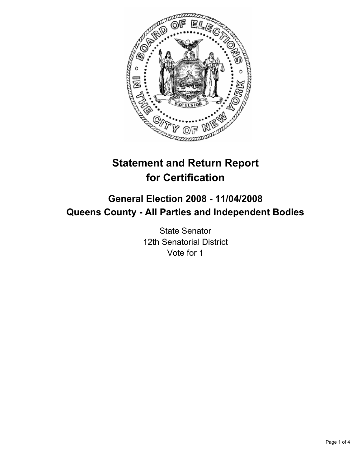

# **Statement and Return Report for Certification**

## **General Election 2008 - 11/04/2008 Queens County - All Parties and Independent Bodies**

State Senator 12th Senatorial District Vote for 1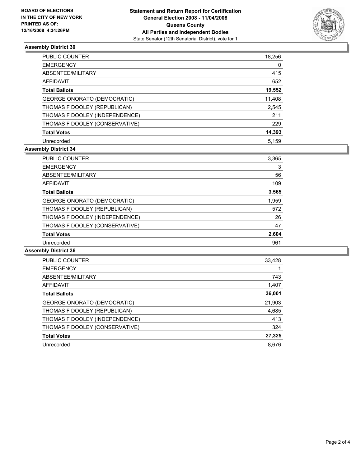

### **Assembly District 30**

| <b>PUBLIC COUNTER</b>              | 18,256 |
|------------------------------------|--------|
| <b>EMERGENCY</b>                   | 0      |
| ABSENTEE/MILITARY                  | 415    |
| AFFIDAVIT                          | 652    |
| <b>Total Ballots</b>               | 19,552 |
| <b>GEORGE ONORATO (DEMOCRATIC)</b> | 11,408 |
| THOMAS F DOOLEY (REPUBLICAN)       | 2,545  |
| THOMAS F DOOLEY (INDEPENDENCE)     | 211    |
| THOMAS F DOOLEY (CONSERVATIVE)     | 229    |
| <b>Total Votes</b>                 | 14,393 |
| Unrecorded                         | 5.159  |

#### **Assembly District 34**

| <b>PUBLIC COUNTER</b>          | 3,365 |
|--------------------------------|-------|
| <b>EMERGENCY</b>               | 3     |
| ABSENTEE/MILITARY              | 56    |
| <b>AFFIDAVIT</b>               | 109   |
| <b>Total Ballots</b>           | 3,565 |
| GEORGE ONORATO (DEMOCRATIC)    | 1,959 |
| THOMAS F DOOLEY (REPUBLICAN)   | 572   |
| THOMAS F DOOLEY (INDEPENDENCE) | 26    |
| THOMAS F DOOLEY (CONSERVATIVE) | 47    |
| <b>Total Votes</b>             | 2,604 |
| Unrecorded                     | 961   |

#### **Assembly District 36**

| <b>PUBLIC COUNTER</b>              | 33,428 |
|------------------------------------|--------|
| <b>EMERGENCY</b>                   |        |
| ABSENTEE/MILITARY                  | 743    |
| AFFIDAVIT                          | 1,407  |
| <b>Total Ballots</b>               | 36,001 |
| <b>GEORGE ONORATO (DEMOCRATIC)</b> | 21,903 |
| THOMAS F DOOLEY (REPUBLICAN)       | 4,685  |
| THOMAS F DOOLEY (INDEPENDENCE)     | 413    |
| THOMAS F DOOLEY (CONSERVATIVE)     | 324    |
| <b>Total Votes</b>                 | 27,325 |
| Unrecorded                         | 8.676  |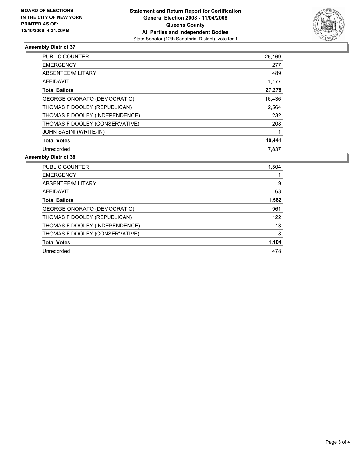

#### **Assembly District 37**

| PUBLIC COUNTER                     | 25,169 |
|------------------------------------|--------|
| <b>EMERGENCY</b>                   | 277    |
| ABSENTEE/MILITARY                  | 489    |
| AFFIDAVIT                          | 1,177  |
| <b>Total Ballots</b>               | 27,278 |
| <b>GEORGE ONORATO (DEMOCRATIC)</b> | 16,436 |
| THOMAS F DOOLEY (REPUBLICAN)       | 2,564  |
| THOMAS F DOOLEY (INDEPENDENCE)     | 232    |
| THOMAS F DOOLEY (CONSERVATIVE)     | 208    |
| <b>JOHN SABINI (WRITE-IN)</b>      |        |
| <b>Total Votes</b>                 | 19,441 |
| Unrecorded                         | 7,837  |

#### **Assembly District 38**

| <b>PUBLIC COUNTER</b>              | 1,504 |
|------------------------------------|-------|
| <b>EMERGENCY</b>                   |       |
| ABSENTEE/MILITARY                  | 9     |
| AFFIDAVIT                          | 63    |
| <b>Total Ballots</b>               | 1,582 |
| <b>GEORGE ONORATO (DEMOCRATIC)</b> | 961   |
| THOMAS F DOOLEY (REPUBLICAN)       | 122   |
| THOMAS F DOOLEY (INDEPENDENCE)     | 13    |
| THOMAS F DOOLEY (CONSERVATIVE)     | 8     |
| <b>Total Votes</b>                 | 1,104 |
| Unrecorded                         | 478   |